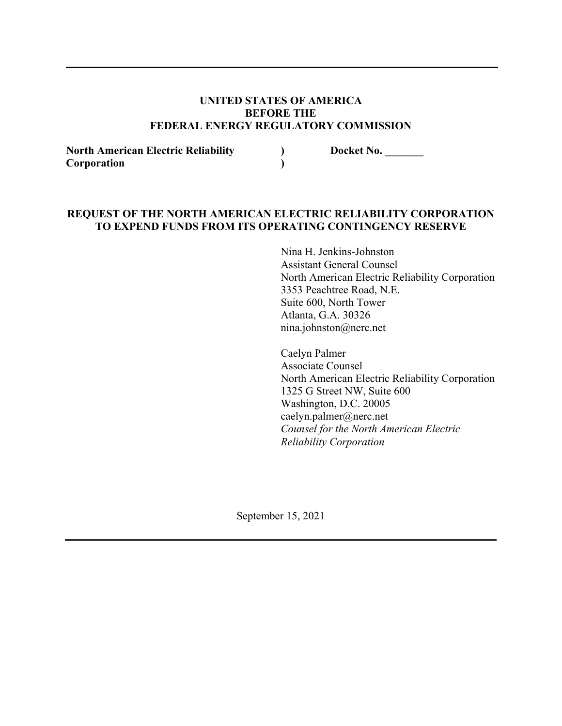#### **UNITED STATES OF AMERICA BEFORE THE FEDERAL ENERGY REGULATORY COMMISSION**

**) )**

**North American Electric Reliability Corporation**

**Docket No. \_\_\_\_\_\_\_**

## **REQUEST OF THE NORTH AMERICAN ELECTRIC RELIABILITY CORPORATION TO EXPEND FUNDS FROM ITS OPERATING CONTINGENCY RESERVE**

Nina H. Jenkins-Johnston Assistant General Counsel North American Electric Reliability Corporation 3353 Peachtree Road, N.E. Suite 600, North Tower Atlanta, G.A. 30326 nina.johnston@nerc.net

Caelyn Palmer Associate Counsel North American Electric Reliability Corporation 1325 G Street NW, Suite 600 Washington, D.C. 20005 caelyn.palmer@nerc.net *Counsel for the North American Electric Reliability Corporation*

September 15, 2021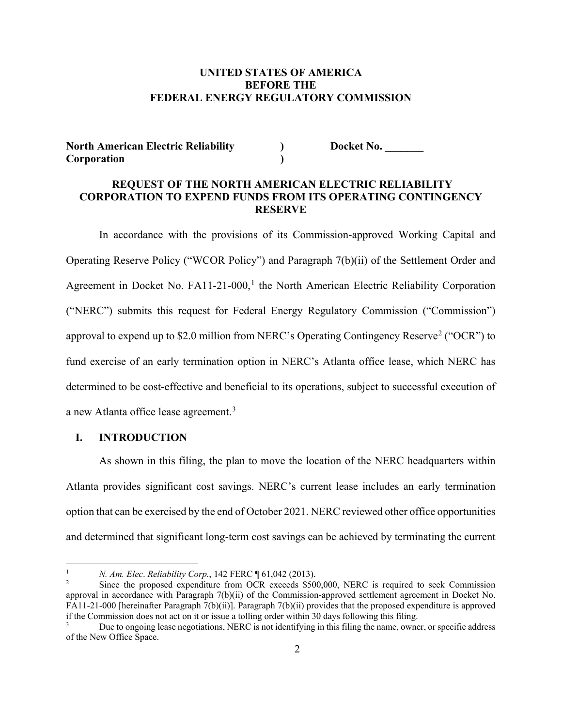## **UNITED STATES OF AMERICA BEFORE THE FEDERAL ENERGY REGULATORY COMMISSION**

#### **North American Electric Reliability Corporation**

**Docket No. \_\_\_\_\_\_\_**

#### **REQUEST OF THE NORTH AMERICAN ELECTRIC RELIABILITY CORPORATION TO EXPEND FUNDS FROM ITS OPERATING CONTINGENCY RESERVE**

**) )**

In accordance with the provisions of its Commission-approved Working Capital and Operating Reserve Policy ("WCOR Policy") and Paragraph 7(b)(ii) of the Settlement Order and Agreement in Docket No.  $FA11-21-000$  $FA11-21-000$  $FA11-21-000$ ,<sup>1</sup> the North American Electric Reliability Corporation ("NERC") submits this request for Federal Energy Regulatory Commission ("Commission") approval to expend up to \$[2](#page-1-1).0 million from NERC's Operating Contingency Reserve<sup>2</sup> ("OCR") to fund exercise of an early termination option in NERC's Atlanta office lease, which NERC has determined to be cost-effective and beneficial to its operations, subject to successful execution of a new Atlanta office lease agreement.<sup>[3](#page-1-2)</sup>

#### **I. INTRODUCTION**

————————————

As shown in this filing, the plan to move the location of the NERC headquarters within Atlanta provides significant cost savings. NERC's current lease includes an early termination option that can be exercised by the end of October 2021. NERC reviewed other office opportunities and determined that significant long-term cost savings can be achieved by terminating the current

<span id="page-1-0"></span><sup>1</sup> *N. Am. Elec*. *Reliability Corp.*, 142 FERC ¶ 61,042 (2013).

<span id="page-1-1"></span><sup>2</sup> Since the proposed expenditure from OCR exceeds \$500,000, NERC is required to seek Commission approval in accordance with Paragraph 7(b)(ii) of the Commission-approved settlement agreement in Docket No. FA11-21-000 [hereinafter Paragraph 7(b)(ii)]. Paragraph 7(b)(ii) provides that the proposed expenditure is approved if the Commission does not act on it or issue a tolling order within 30 days following this filing.

<span id="page-1-2"></span>Due to ongoing lease negotiations, NERC is not identifying in this filing the name, owner, or specific address of the New Office Space.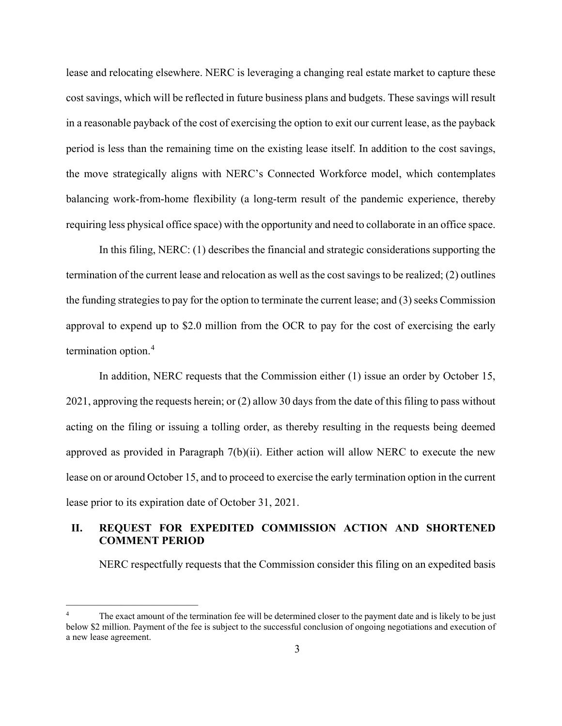lease and relocating elsewhere. NERC is leveraging a changing real estate market to capture these cost savings, which will be reflected in future business plans and budgets. These savings will result in a reasonable payback of the cost of exercising the option to exit our current lease, as the payback period is less than the remaining time on the existing lease itself. In addition to the cost savings, the move strategically aligns with NERC's Connected Workforce model, which contemplates balancing work-from-home flexibility (a long-term result of the pandemic experience, thereby requiring less physical office space) with the opportunity and need to collaborate in an office space.

In this filing, NERC: (1) describes the financial and strategic considerations supporting the termination of the current lease and relocation as well as the cost savings to be realized; (2) outlines the funding strategies to pay for the option to terminate the current lease; and  $(3)$  seeks Commission approval to expend up to \$2.0 million from the OCR to pay for the cost of exercising the early termination option. [4](#page-2-0)

In addition, NERC requests that the Commission either (1) issue an order by October 15, 2021, approving the requests herein; or (2) allow 30 days from the date of this filing to pass without acting on the filing or issuing a tolling order, as thereby resulting in the requests being deemed approved as provided in Paragraph  $7(b)(ii)$ . Either action will allow NERC to execute the new lease on or around October 15, and to proceed to exercise the early termination option in the current lease prior to its expiration date of October 31, 2021.

## **II. REQUEST FOR EXPEDITED COMMISSION ACTION AND SHORTENED COMMENT PERIOD**

NERC respectfully requests that the Commission consider this filing on an expedited basis

————————————

<span id="page-2-0"></span>The exact amount of the termination fee will be determined closer to the payment date and is likely to be just below \$2 million. Payment of the fee is subject to the successful conclusion of ongoing negotiations and execution of a new lease agreement.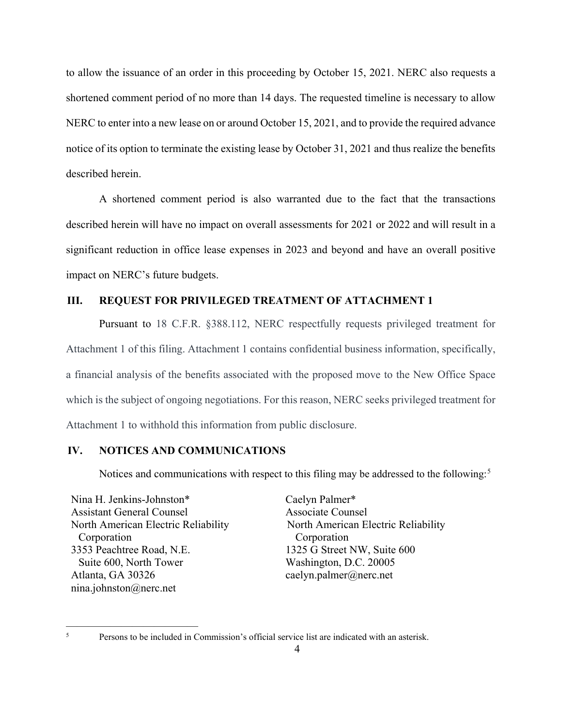to allow the issuance of an order in this proceeding by October 15, 2021. NERC also requests a shortened comment period of no more than 14 days. The requested timeline is necessary to allow NERC to enter into a new lease on or around October 15, 2021, and to provide the required advance notice of its option to terminate the existing lease by October 31, 2021 and thus realize the benefits described herein.

A shortened comment period is also warranted due to the fact that the transactions described herein will have no impact on overall assessments for 2021 or 2022 and will result in a significant reduction in office lease expenses in 2023 and beyond and have an overall positive impact on NERC's future budgets.

#### **III. REQUEST FOR PRIVILEGED TREATMENT OF ATTACHMENT 1**

Pursuant to 18 C.F.R. §388.112, NERC respectfully requests privileged treatment for Attachment 1 of this filing. Attachment 1 contains confidential business information, specifically, a financial analysis of the benefits associated with the proposed move to the New Office Space which is the subject of ongoing negotiations. For this reason, NERC seeks privileged treatment for Attachment 1 to withhold this information from public disclosure.

## **IV. NOTICES AND COMMUNICATIONS**

Notices and communications with respect to this filing may be addressed to the following:<sup>[5](#page-3-0)</sup>

Nina H. Jenkins-Johnston\* Assistant General Counsel North American Electric Reliability Corporation 3353 Peachtree Road, N.E. Suite 600, North Tower Atlanta, GA 30326 nina.johnston@nerc.net

Caelyn Palmer\* Associate Counsel North American Electric Reliability Corporation 1325 G Street NW, Suite 600 Washington, D.C. 20005 caelyn.palmer@nerc.net

————————————

<span id="page-3-0"></span><sup>&</sup>lt;sup>5</sup> Persons to be included in Commission's official service list are indicated with an asterisk.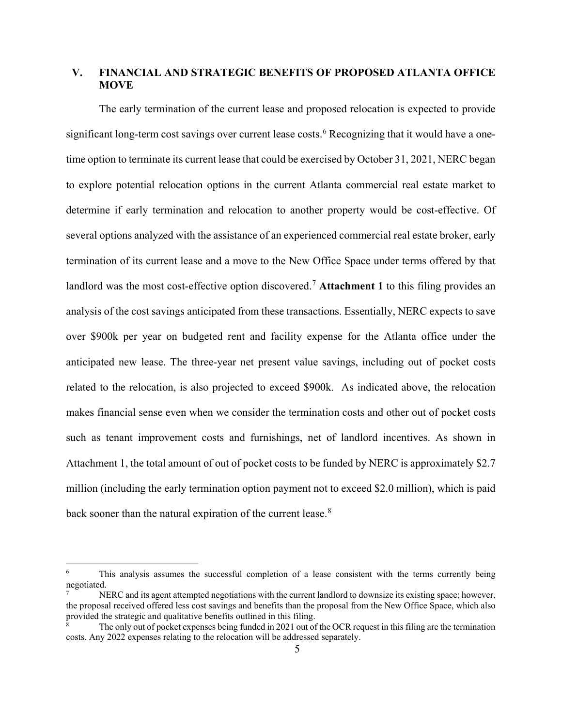## **V. FINANCIAL AND STRATEGIC BENEFITS OF PROPOSED ATLANTA OFFICE MOVE**

The early termination of the current lease and proposed relocation is expected to provide significant long-term cost savings over current lease costs. [6](#page-4-0) Recognizing that it would have a onetime option to terminate its current lease that could be exercised by October 31, 2021, NERC began to explore potential relocation options in the current Atlanta commercial real estate market to determine if early termination and relocation to another property would be cost-effective. Of several options analyzed with the assistance of an experienced commercial real estate broker, early termination of its current lease and a move to the New Office Space under terms offered by that landlord was the most cost-effective option discovered.<sup>[7](#page-4-1)</sup> Attachment 1 to this filing provides an analysis of the cost savings anticipated from these transactions. Essentially, NERC expects to save over \$900k per year on budgeted rent and facility expense for the Atlanta office under the anticipated new lease. The three-year net present value savings, including out of pocket costs related to the relocation, is also projected to exceed \$900k. As indicated above, the relocation makes financial sense even when we consider the termination costs and other out of pocket costs such as tenant improvement costs and furnishings, net of landlord incentives. As shown in Attachment 1, the total amount of out of pocket costs to be funded by NERC is approximately \$2.7 million (including the early termination option payment not to exceed \$2.0 million), which is paid back sooner than the natural expiration of the current lease.<sup>[8](#page-4-2)</sup>

————————————

<span id="page-4-0"></span><sup>&</sup>lt;sup>6</sup> This analysis assumes the successful completion of a lease consistent with the terms currently being negotiated.

<span id="page-4-1"></span>NERC and its agent attempted negotiations with the current landlord to downsize its existing space; however, the proposal received offered less cost savings and benefits than the proposal from the New Office Space, which also provided the strategic and qualitative benefits outlined in this filing.

<span id="page-4-2"></span>The only out of pocket expenses being funded in 2021 out of the OCR request in this filing are the termination costs. Any 2022 expenses relating to the relocation will be addressed separately.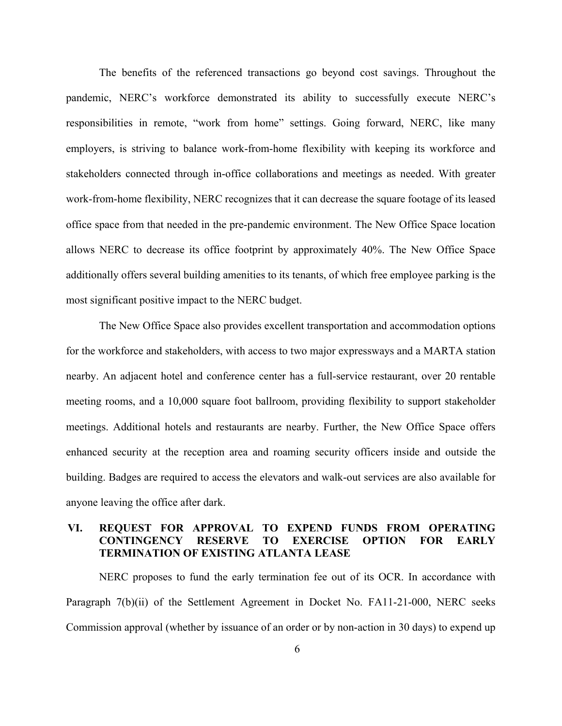The benefits of the referenced transactions go beyond cost savings. Throughout the pandemic, NERC's workforce demonstrated its ability to successfully execute NERC's responsibilities in remote, "work from home" settings. Going forward, NERC, like many employers, is striving to balance work-from-home flexibility with keeping its workforce and stakeholders connected through in-office collaborations and meetings as needed. With greater work-from-home flexibility, NERC recognizes that it can decrease the square footage of its leased office space from that needed in the pre-pandemic environment. The New Office Space location allows NERC to decrease its office footprint by approximately 40%. The New Office Space additionally offers several building amenities to its tenants, of which free employee parking is the most significant positive impact to the NERC budget.

The New Office Space also provides excellent transportation and accommodation options for the workforce and stakeholders, with access to two major expressways and a MARTA station nearby. An adjacent hotel and conference center has a full-service restaurant, over 20 rentable meeting rooms, and a 10,000 square foot ballroom, providing flexibility to support stakeholder meetings. Additional hotels and restaurants are nearby. Further, the New Office Space offers enhanced security at the reception area and roaming security officers inside and outside the building. Badges are required to access the elevators and walk-out services are also available for anyone leaving the office after dark.

# **VI. REQUEST FOR APPROVAL TO EXPEND FUNDS FROM OPERATING CONTINGENCY RESERVE TO EXERCISE OPTION FOR EARLY TERMINATION OF EXISTING ATLANTA LEASE**

NERC proposes to fund the early termination fee out of its OCR. In accordance with Paragraph 7(b)(ii) of the Settlement Agreement in Docket No. FA11-21-000, NERC seeks Commission approval (whether by issuance of an order or by non-action in 30 days) to expend up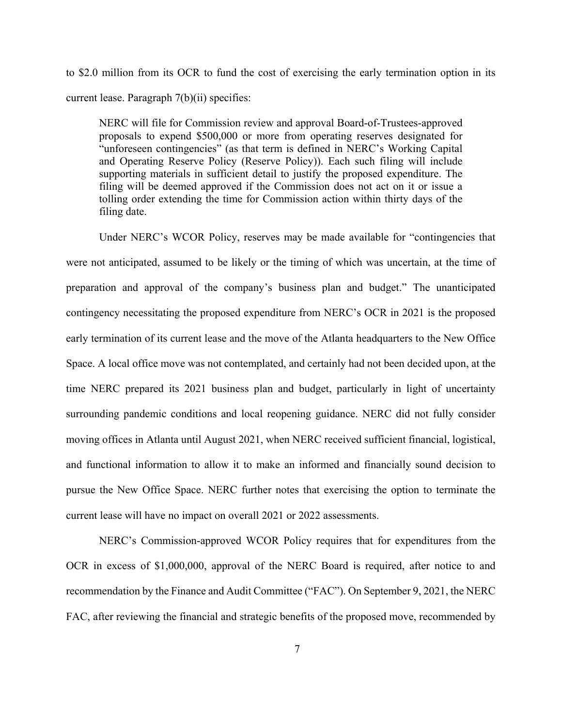to \$2.0 million from its OCR to fund the cost of exercising the early termination option in its current lease. Paragraph 7(b)(ii) specifies:

NERC will file for Commission review and approval Board-of-Trustees-approved proposals to expend \$500,000 or more from operating reserves designated for "unforeseen contingencies" (as that term is defined in NERC's Working Capital and Operating Reserve Policy (Reserve Policy)). Each such filing will include supporting materials in sufficient detail to justify the proposed expenditure. The filing will be deemed approved if the Commission does not act on it or issue a tolling order extending the time for Commission action within thirty days of the filing date.

Under NERC's WCOR Policy, reserves may be made available for "contingencies that were not anticipated, assumed to be likely or the timing of which was uncertain, at the time of preparation and approval of the company's business plan and budget." The unanticipated contingency necessitating the proposed expenditure from NERC's OCR in 2021 is the proposed early termination of its current lease and the move of the Atlanta headquarters to the New Office Space. A local office move was not contemplated, and certainly had not been decided upon, at the time NERC prepared its 2021 business plan and budget, particularly in light of uncertainty surrounding pandemic conditions and local reopening guidance. NERC did not fully consider moving offices in Atlanta until August 2021, when NERC received sufficient financial, logistical, and functional information to allow it to make an informed and financially sound decision to pursue the New Office Space. NERC further notes that exercising the option to terminate the current lease will have no impact on overall 2021 or 2022 assessments.

NERC's Commission-approved WCOR Policy requires that for expenditures from the OCR in excess of \$1,000,000, approval of the NERC Board is required, after notice to and recommendation by the Finance and Audit Committee ("FAC"). On September 9, 2021, the NERC FAC, after reviewing the financial and strategic benefits of the proposed move, recommended by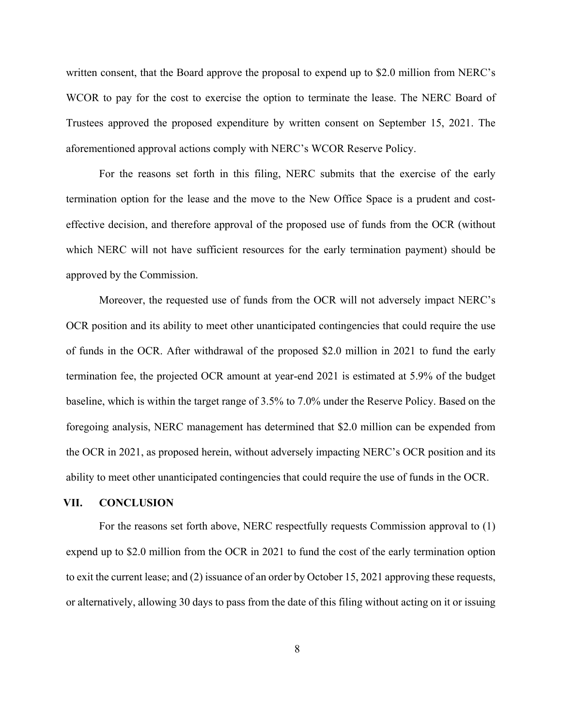written consent, that the Board approve the proposal to expend up to \$2.0 million from NERC's WCOR to pay for the cost to exercise the option to terminate the lease. The NERC Board of Trustees approved the proposed expenditure by written consent on September 15, 2021. The aforementioned approval actions comply with NERC's WCOR Reserve Policy.

For the reasons set forth in this filing, NERC submits that the exercise of the early termination option for the lease and the move to the New Office Space is a prudent and costeffective decision, and therefore approval of the proposed use of funds from the OCR (without which NERC will not have sufficient resources for the early termination payment) should be approved by the Commission.

Moreover, the requested use of funds from the OCR will not adversely impact NERC's OCR position and its ability to meet other unanticipated contingencies that could require the use of funds in the OCR. After withdrawal of the proposed \$2.0 million in 2021 to fund the early termination fee, the projected OCR amount at year-end 2021 is estimated at 5.9% of the budget baseline, which is within the target range of 3.5% to 7.0% under the Reserve Policy. Based on the foregoing analysis, NERC management has determined that \$2.0 million can be expended from the OCR in 2021, as proposed herein, without adversely impacting NERC's OCR position and its ability to meet other unanticipated contingencies that could require the use of funds in the OCR.

#### **VII. CONCLUSION**

For the reasons set forth above, NERC respectfully requests Commission approval to (1) expend up to \$2.0 million from the OCR in 2021 to fund the cost of the early termination option to exit the current lease; and (2) issuance of an order by October 15, 2021 approving these requests, or alternatively, allowing 30 days to pass from the date of this filing without acting on it or issuing